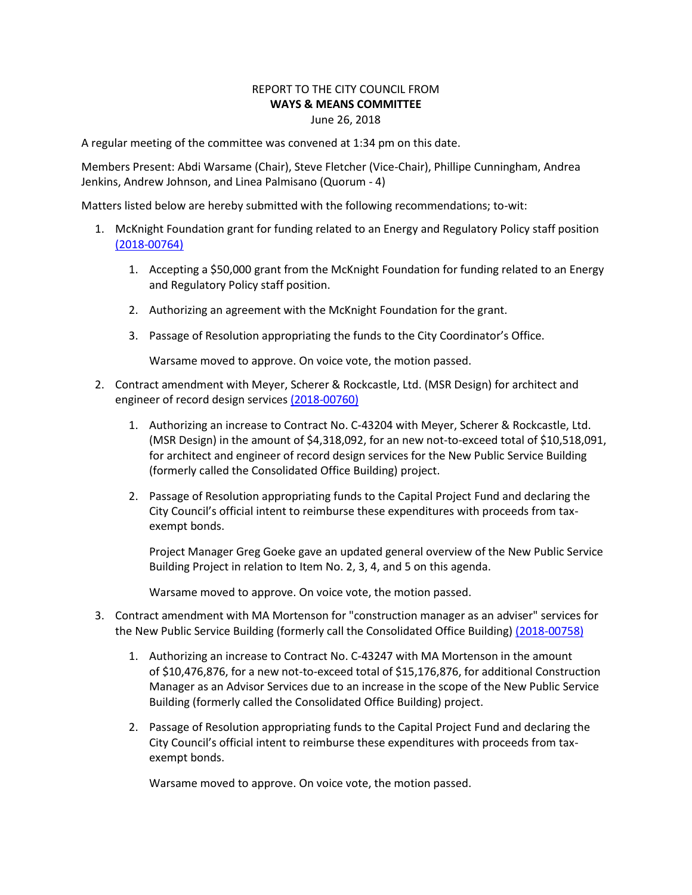## REPORT TO THE CITY COUNCIL FROM **WAYS & MEANS COMMITTEE** June 26, 2018

A regular meeting of the committee was convened at 1:34 pm on this date.

Members Present: Abdi Warsame (Chair), Steve Fletcher (Vice-Chair), Phillipe Cunningham, Andrea Jenkins, Andrew Johnson, and Linea Palmisano (Quorum - 4)

Matters listed below are hereby submitted with the following recommendations; to-wit:

- 1. McKnight Foundation grant for funding related to an Energy and Regulatory Policy staff position [\(2018-00764\)](https://lims.minneapolismn.gov/File/2018-00764)
	- 1. Accepting a \$50,000 grant from the McKnight Foundation for funding related to an Energy and Regulatory Policy staff position.
	- 2. Authorizing an agreement with the McKnight Foundation for the grant.
	- 3. Passage of Resolution appropriating the funds to the City Coordinator's Office.

Warsame moved to approve. On voice vote, the motion passed.

- 2. Contract amendment with Meyer, Scherer & Rockcastle, Ltd. (MSR Design) for architect and engineer of record design services [\(2018-00760\)](https://lims.minneapolismn.gov/File/2018-00760)
	- 1. Authorizing an increase to Contract No. C-43204 with Meyer, Scherer & Rockcastle, Ltd. (MSR Design) in the amount of \$4,318,092, for an new not-to-exceed total of \$10,518,091, for architect and engineer of record design services for the New Public Service Building (formerly called the Consolidated Office Building) project.
	- 2. Passage of Resolution appropriating funds to the Capital Project Fund and declaring the City Council's official intent to reimburse these expenditures with proceeds from taxexempt bonds.

Project Manager Greg Goeke gave an updated general overview of the New Public Service Building Project in relation to Item No. 2, 3, 4, and 5 on this agenda.

Warsame moved to approve. On voice vote, the motion passed.

- 3. Contract amendment with MA Mortenson for "construction manager as an adviser" services for the New Public Service Building (formerly call the Consolidated Office Building) [\(2018-00758\)](https://lims.minneapolismn.gov/File/2018-00758)
	- 1. Authorizing an increase to Contract No. C-43247 with MA Mortenson in the amount of \$10,476,876, for a new not-to-exceed total of \$15,176,876, for additional Construction Manager as an Advisor Services due to an increase in the scope of the New Public Service Building (formerly called the Consolidated Office Building) project.
	- 2. Passage of Resolution appropriating funds to the Capital Project Fund and declaring the City Council's official intent to reimburse these expenditures with proceeds from taxexempt bonds.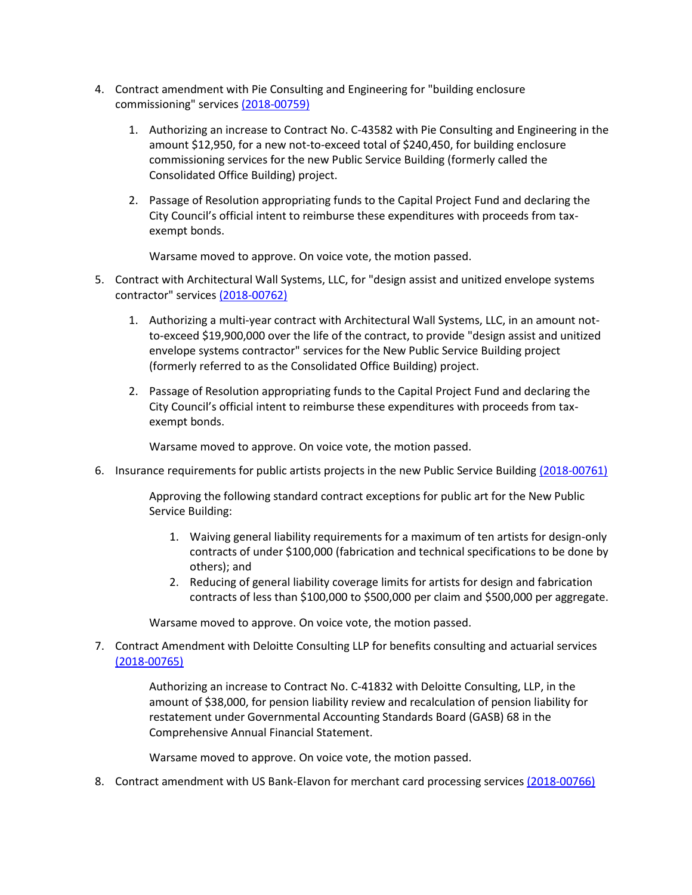- 4. Contract amendment with Pie Consulting and Engineering for "building enclosure commissioning" service[s \(2018-00759\)](https://lims.minneapolismn.gov/File/2018-00759)
	- 1. Authorizing an increase to Contract No. C-43582 with Pie Consulting and Engineering in the amount \$12,950, for a new not-to-exceed total of \$240,450, for building enclosure commissioning services for the new Public Service Building (formerly called the Consolidated Office Building) project.
	- 2. Passage of Resolution appropriating funds to the Capital Project Fund and declaring the City Council's official intent to reimburse these expenditures with proceeds from taxexempt bonds.

Warsame moved to approve. On voice vote, the motion passed.

- 5. Contract with Architectural Wall Systems, LLC, for "design assist and unitized envelope systems contractor" services [\(2018-00762\)](https://lims.minneapolismn.gov/File/2018-00762)
	- 1. Authorizing a multi-year contract with Architectural Wall Systems, LLC, in an amount notto-exceed \$19,900,000 over the life of the contract, to provide "design assist and unitized envelope systems contractor" services for the New Public Service Building project (formerly referred to as the Consolidated Office Building) project.
	- 2. Passage of Resolution appropriating funds to the Capital Project Fund and declaring the City Council's official intent to reimburse these expenditures with proceeds from taxexempt bonds.

Warsame moved to approve. On voice vote, the motion passed.

6. Insurance requirements for public artists projects in the new Public Service Building [\(2018-00761\)](https://lims.minneapolismn.gov/File/2018-00761)

Approving the following standard contract exceptions for public art for the New Public Service Building:

- 1. Waiving general liability requirements for a maximum of ten artists for design-only contracts of under \$100,000 (fabrication and technical specifications to be done by others); and
- 2. Reducing of general liability coverage limits for artists for design and fabrication contracts of less than \$100,000 to \$500,000 per claim and \$500,000 per aggregate.

Warsame moved to approve. On voice vote, the motion passed.

7. Contract Amendment with Deloitte Consulting LLP for benefits consulting and actuarial services [\(2018-00765\)](https://lims.minneapolismn.gov/File/2018-00765)

> Authorizing an increase to Contract No. C-41832 with Deloitte Consulting, LLP, in the amount of \$38,000, for pension liability review and recalculation of pension liability for restatement under Governmental Accounting Standards Board (GASB) 68 in the Comprehensive Annual Financial Statement.

Warsame moved to approve. On voice vote, the motion passed.

8. Contract amendment with US Bank-Elavon for merchant card processing services [\(2018-00766\)](https://lims.minneapolismn.gov/File/2018-00766)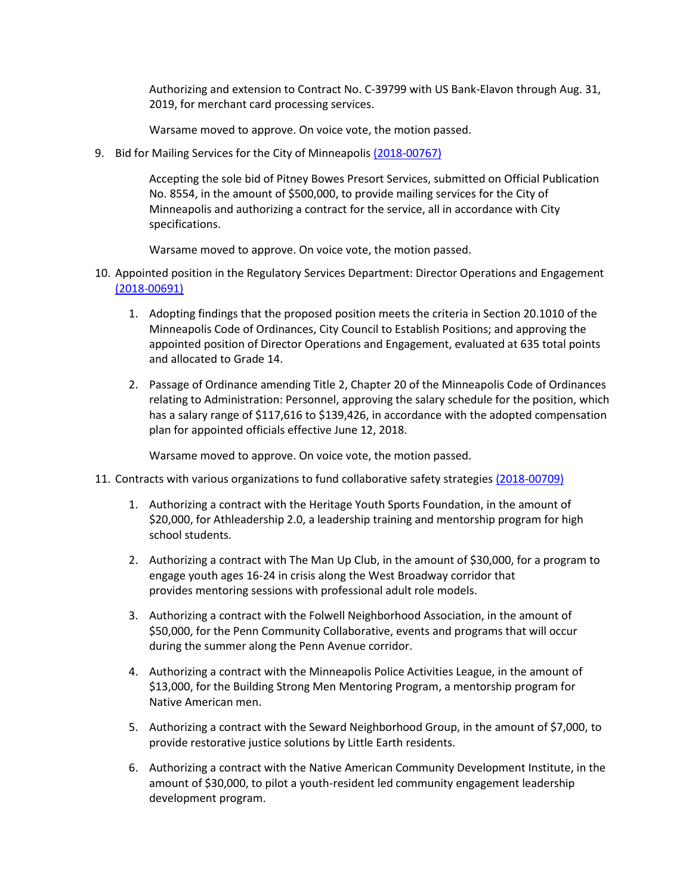Authorizing and extension to Contract No. C-39799 with US Bank-Elavon through Aug. 31, 2019, for merchant card processing services.

- Warsame moved to approve. On voice vote, the motion passed.
- 9. Bid for Mailing Services for the City of Minneapoli[s \(2018-00767\)](https://lims.minneapolismn.gov/File/2018-00767)

Accepting the sole bid of Pitney Bowes Presort Services, submitted on Official Publication No. 8554, in the amount of \$500,000, to provide mailing services for the City of Minneapolis and authorizing a contract for the service, all in accordance with City specifications.

Warsame moved to approve. On voice vote, the motion passed.

- 10. Appointed position in the Regulatory Services Department: Director Operations and Engagement [\(2018-00691\)](https://lims.minneapolismn.gov/File/2018-00691)
	- 1. Adopting findings that the proposed position meets the criteria in Section 20.1010 of the Minneapolis Code of Ordinances, City Council to Establish Positions; and approving the appointed position of Director Operations and Engagement, evaluated at 635 total points and allocated to Grade 14.
	- 2. Passage of Ordinance amending Title 2, Chapter 20 of the Minneapolis Code of Ordinances relating to Administration: Personnel, approving the salary schedule for the position, which has a salary range of \$117,616 to \$139,426, in accordance with the adopted compensation plan for appointed officials effective June 12, 2018.

- 11. Contracts with various organizations to fund collaborative safety strategie[s \(2018-00709\)](https://lims.minneapolismn.gov/File/2018-00709)
	- 1. Authorizing a contract with the Heritage Youth Sports Foundation, in the amount of \$20,000, for Athleadership 2.0, a leadership training and mentorship program for high school students.
	- 2. Authorizing a contract with The Man Up Club, in the amount of \$30,000, for a program to engage youth ages 16-24 in crisis along the West Broadway corridor that provides mentoring sessions with professional adult role models.
	- 3. Authorizing a contract with the Folwell Neighborhood Association, in the amount of \$50,000, for the Penn Community Collaborative, events and programs that will occur during the summer along the Penn Avenue corridor.
	- 4. Authorizing a contract with the Minneapolis Police Activities League, in the amount of \$13,000, for the Building Strong Men Mentoring Program, a mentorship program for Native American men.
	- 5. Authorizing a contract with the Seward Neighborhood Group, in the amount of \$7,000, to provide restorative justice solutions by Little Earth residents.
	- 6. Authorizing a contract with the Native American Community Development Institute, in the amount of \$30,000, to pilot a youth-resident led community engagement leadership development program.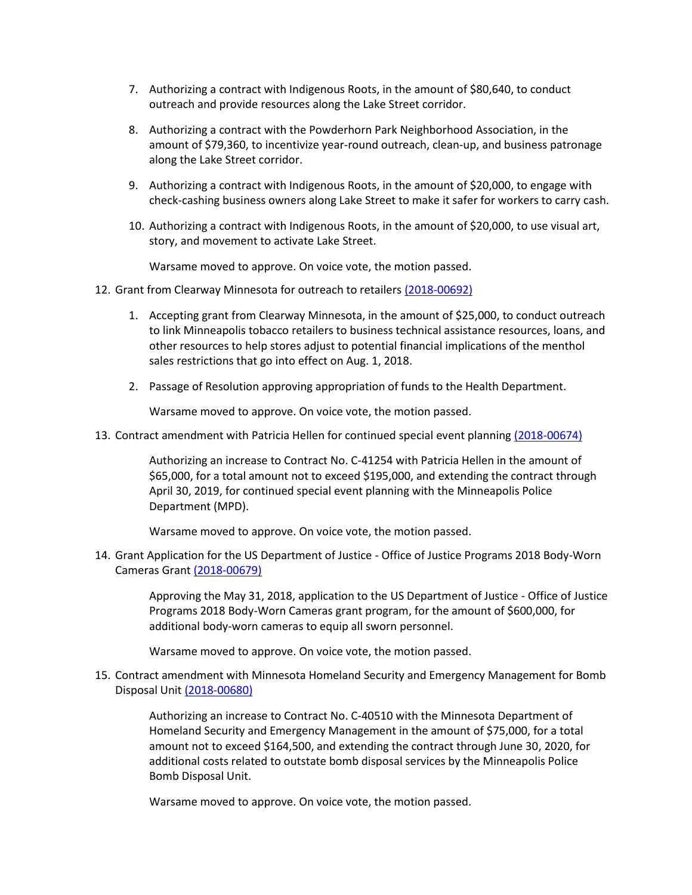- 7. Authorizing a contract with Indigenous Roots, in the amount of \$80,640, to conduct outreach and provide resources along the Lake Street corridor.
- 8. Authorizing a contract with the Powderhorn Park Neighborhood Association, in the amount of \$79,360, to incentivize year-round outreach, clean-up, and business patronage along the Lake Street corridor.
- 9. Authorizing a contract with Indigenous Roots, in the amount of \$20,000, to engage with check-cashing business owners along Lake Street to make it safer for workers to carry cash.
- 10. Authorizing a contract with Indigenous Roots, in the amount of \$20,000, to use visual art, story, and movement to activate Lake Street.

Warsame moved to approve. On voice vote, the motion passed.

- 12. Grant from Clearway Minnesota for outreach to retailers [\(2018-00692\)](https://lims.minneapolismn.gov/File/2018-00692)
	- 1. Accepting grant from Clearway Minnesota, in the amount of \$25,000, to conduct outreach to link Minneapolis tobacco retailers to business technical assistance resources, loans, and other resources to help stores adjust to potential financial implications of the menthol sales restrictions that go into effect on Aug. 1, 2018.
	- 2. Passage of Resolution approving appropriation of funds to the Health Department.

Warsame moved to approve. On voice vote, the motion passed.

13. Contract amendment with Patricia Hellen for continued special event planning [\(2018-00674\)](https://lims.minneapolismn.gov/File/2018-00674)

Authorizing an increase to Contract No. C-41254 with Patricia Hellen in the amount of \$65,000, for a total amount not to exceed \$195,000, and extending the contract through April 30, 2019, for continued special event planning with the Minneapolis Police Department (MPD).

Warsame moved to approve. On voice vote, the motion passed.

14. Grant Application for the US Department of Justice - Office of Justice Programs 2018 Body-Worn Cameras Grant [\(2018-00679\)](https://lims.minneapolismn.gov/File/2018-00679)

> Approving the May 31, 2018, application to the US Department of Justice - Office of Justice Programs 2018 Body-Worn Cameras grant program, for the amount of \$600,000, for additional body-worn cameras to equip all sworn personnel.

Warsame moved to approve. On voice vote, the motion passed.

15. Contract amendment with Minnesota Homeland Security and Emergency Management for Bomb Disposal Unit [\(2018-00680\)](https://lims.minneapolismn.gov/File/2018-00680)

> Authorizing an increase to Contract No. C-40510 with the Minnesota Department of Homeland Security and Emergency Management in the amount of \$75,000, for a total amount not to exceed \$164,500, and extending the contract through June 30, 2020, for additional costs related to outstate bomb disposal services by the Minneapolis Police Bomb Disposal Unit.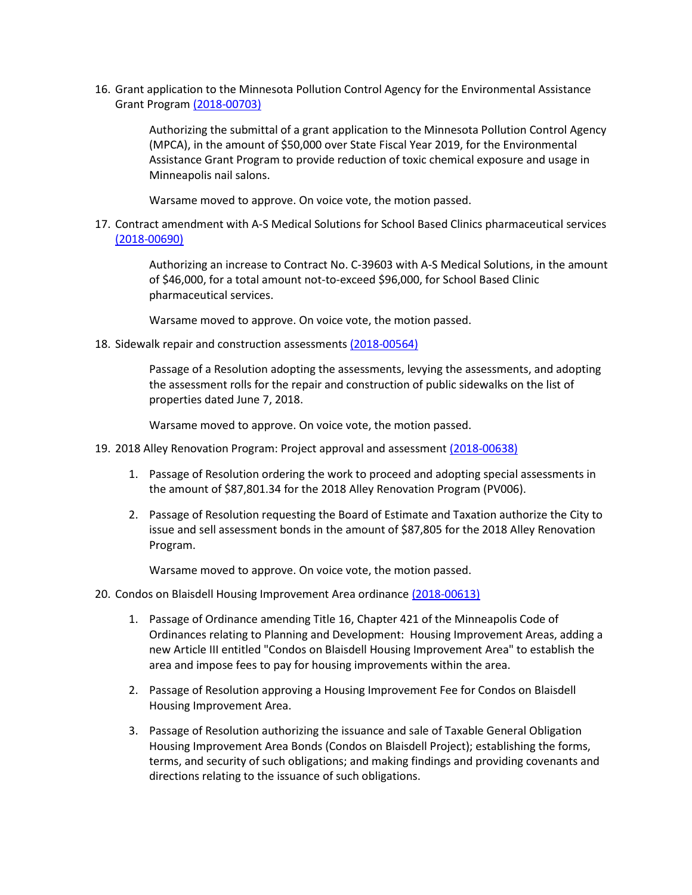16. Grant application to the Minnesota Pollution Control Agency for the Environmental Assistance Grant Program [\(2018-00703\)](https://lims.minneapolismn.gov/File/2018-00703)

> Authorizing the submittal of a grant application to the Minnesota Pollution Control Agency (MPCA), in the amount of \$50,000 over State Fiscal Year 2019, for the Environmental Assistance Grant Program to provide reduction of toxic chemical exposure and usage in Minneapolis nail salons.

Warsame moved to approve. On voice vote, the motion passed.

17. Contract amendment with A-S Medical Solutions for School Based Clinics pharmaceutical services [\(2018-00690\)](https://lims.minneapolismn.gov/File/2018-00690)

> Authorizing an increase to Contract No. C-39603 with A-S Medical Solutions, in the amount of \$46,000, for a total amount not-to-exceed \$96,000, for School Based Clinic pharmaceutical services.

Warsame moved to approve. On voice vote, the motion passed.

18. Sidewalk repair and construction assessment[s \(2018-00564\)](https://lims.minneapolismn.gov/File/2018-00564)

Passage of a Resolution adopting the assessments, levying the assessments, and adopting the assessment rolls for the repair and construction of public sidewalks on the list of properties dated June 7, 2018.

Warsame moved to approve. On voice vote, the motion passed.

- 19. 2018 Alley Renovation Program: Project approval and assessment [\(2018-00638\)](https://lims.minneapolismn.gov/File/2018-00638)
	- 1. Passage of Resolution ordering the work to proceed and adopting special assessments in the amount of \$87,801.34 for the 2018 Alley Renovation Program (PV006).
	- 2. Passage of Resolution requesting the Board of Estimate and Taxation authorize the City to issue and sell assessment bonds in the amount of \$87,805 for the 2018 Alley Renovation Program.

- 20. Condos on Blaisdell Housing Improvement Area ordinance [\(2018-00613\)](https://lims.minneapolismn.gov/File/2018-00613)
	- 1. Passage of Ordinance amending Title 16, Chapter 421 of the Minneapolis Code of Ordinances relating to Planning and Development: Housing Improvement Areas, adding a new Article III entitled "Condos on Blaisdell Housing Improvement Area" to establish the area and impose fees to pay for housing improvements within the area.
	- 2. Passage of Resolution approving a Housing Improvement Fee for Condos on Blaisdell Housing Improvement Area.
	- 3. Passage of Resolution authorizing the issuance and sale of Taxable General Obligation Housing Improvement Area Bonds (Condos on Blaisdell Project); establishing the forms, terms, and security of such obligations; and making findings and providing covenants and directions relating to the issuance of such obligations.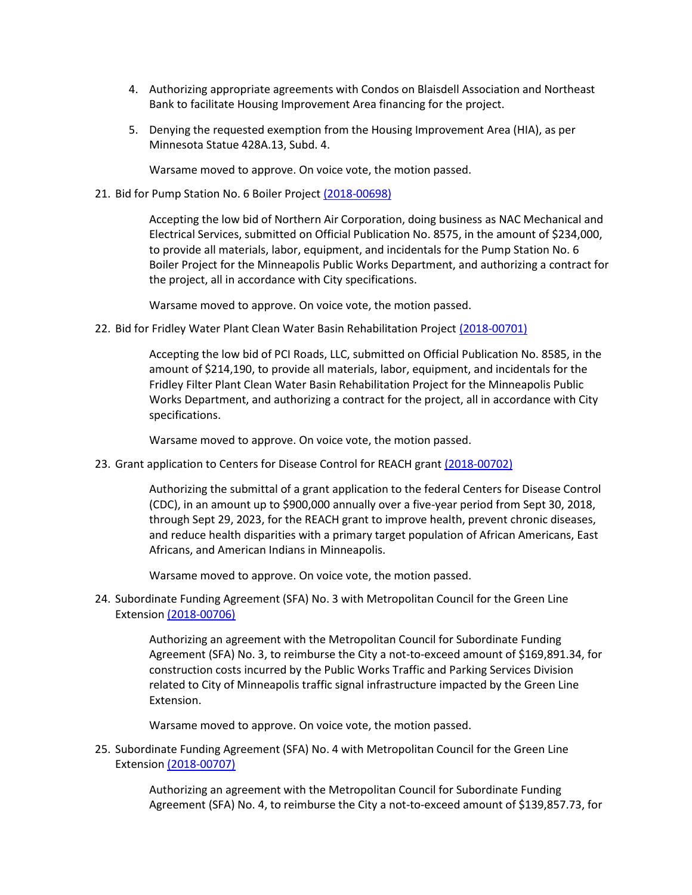- 4. Authorizing appropriate agreements with Condos on Blaisdell Association and Northeast Bank to facilitate Housing Improvement Area financing for the project.
- 5. Denying the requested exemption from the Housing Improvement Area (HIA), as per Minnesota Statue 428A.13, Subd. 4.

Warsame moved to approve. On voice vote, the motion passed.

21. Bid for Pump Station No. 6 Boiler Project [\(2018-00698\)](https://lims.minneapolismn.gov/File/2018-00698)

Accepting the low bid of Northern Air Corporation, doing business as NAC Mechanical and Electrical Services, submitted on Official Publication No. 8575, in the amount of \$234,000, to provide all materials, labor, equipment, and incidentals for the Pump Station No. 6 Boiler Project for the Minneapolis Public Works Department, and authorizing a contract for the project, all in accordance with City specifications.

Warsame moved to approve. On voice vote, the motion passed.

22. Bid for Fridley Water Plant Clean Water Basin Rehabilitation Project [\(2018-00701\)](https://lims.minneapolismn.gov/File/2018-00701)

Accepting the low bid of PCI Roads, LLC, submitted on Official Publication No. 8585, in the amount of \$214,190, to provide all materials, labor, equipment, and incidentals for the Fridley Filter Plant Clean Water Basin Rehabilitation Project for the Minneapolis Public Works Department, and authorizing a contract for the project, all in accordance with City specifications.

Warsame moved to approve. On voice vote, the motion passed.

23. Grant application to Centers for Disease Control for REACH grant [\(2018-00702\)](https://lims.minneapolismn.gov/File/2018-00702)

Authorizing the submittal of a grant application to the federal Centers for Disease Control (CDC), in an amount up to \$900,000 annually over a five-year period from Sept 30, 2018, through Sept 29, 2023, for the REACH grant to improve health, prevent chronic diseases, and reduce health disparities with a primary target population of African Americans, East Africans, and American Indians in Minneapolis.

Warsame moved to approve. On voice vote, the motion passed.

24. Subordinate Funding Agreement (SFA) No. 3 with Metropolitan Council for the Green Line Extension [\(2018-00706\)](https://lims.minneapolismn.gov/File/2018-00706)

> Authorizing an agreement with the Metropolitan Council for Subordinate Funding Agreement (SFA) No. 3, to reimburse the City a not-to-exceed amount of \$169,891.34, for construction costs incurred by the Public Works Traffic and Parking Services Division related to City of Minneapolis traffic signal infrastructure impacted by the Green Line Extension.

Warsame moved to approve. On voice vote, the motion passed.

25. Subordinate Funding Agreement (SFA) No. 4 with Metropolitan Council for the Green Line Extension [\(2018-00707\)](https://lims.minneapolismn.gov/File/2018-00707)

> Authorizing an agreement with the Metropolitan Council for Subordinate Funding Agreement (SFA) No. 4, to reimburse the City a not-to-exceed amount of \$139,857.73, for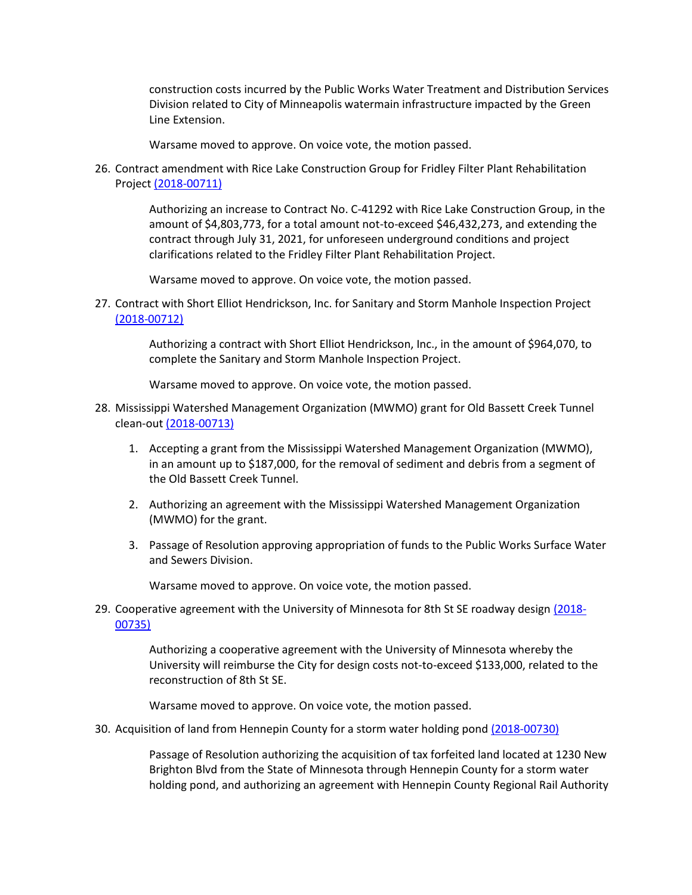construction costs incurred by the Public Works Water Treatment and Distribution Services Division related to City of Minneapolis watermain infrastructure impacted by the Green Line Extension.

Warsame moved to approve. On voice vote, the motion passed.

26. Contract amendment with Rice Lake Construction Group for Fridley Filter Plant Rehabilitation Project [\(2018-00711\)](https://lims.minneapolismn.gov/File/2018-00711)

> Authorizing an increase to Contract No. C-41292 with Rice Lake Construction Group, in the amount of \$4,803,773, for a total amount not-to-exceed \$46,432,273, and extending the contract through July 31, 2021, for unforeseen underground conditions and project clarifications related to the Fridley Filter Plant Rehabilitation Project.

Warsame moved to approve. On voice vote, the motion passed.

27. Contract with Short Elliot Hendrickson, Inc. for Sanitary and Storm Manhole Inspection Project [\(2018-00712\)](https://lims.minneapolismn.gov/File/2018-00712)

> Authorizing a contract with Short Elliot Hendrickson, Inc., in the amount of \$964,070, to complete the Sanitary and Storm Manhole Inspection Project.

Warsame moved to approve. On voice vote, the motion passed.

- 28. Mississippi Watershed Management Organization (MWMO) grant for Old Bassett Creek Tunnel clean-out [\(2018-00713\)](https://lims.minneapolismn.gov/File/2018-00713)
	- 1. Accepting a grant from the Mississippi Watershed Management Organization (MWMO), in an amount up to \$187,000, for the removal of sediment and debris from a segment of the Old Bassett Creek Tunnel.
	- 2. Authorizing an agreement with the Mississippi Watershed Management Organization (MWMO) for the grant.
	- 3. Passage of Resolution approving appropriation of funds to the Public Works Surface Water and Sewers Division.

Warsame moved to approve. On voice vote, the motion passed.

29. Cooperative agreement with the University of Minnesota for 8th St SE roadway design [\(2018-](https://lims.minneapolismn.gov/File/2018-00735) [00735\)](https://lims.minneapolismn.gov/File/2018-00735)

> Authorizing a cooperative agreement with the University of Minnesota whereby the University will reimburse the City for design costs not-to-exceed \$133,000, related to the reconstruction of 8th St SE.

Warsame moved to approve. On voice vote, the motion passed.

30. Acquisition of land from Hennepin County for a storm water holding pon[d \(2018-00730\)](https://lims.minneapolismn.gov/File/2018-00730)

Passage of Resolution authorizing the acquisition of tax forfeited land located at 1230 New Brighton Blvd from the State of Minnesota through Hennepin County for a storm water holding pond, and authorizing an agreement with Hennepin County Regional Rail Authority